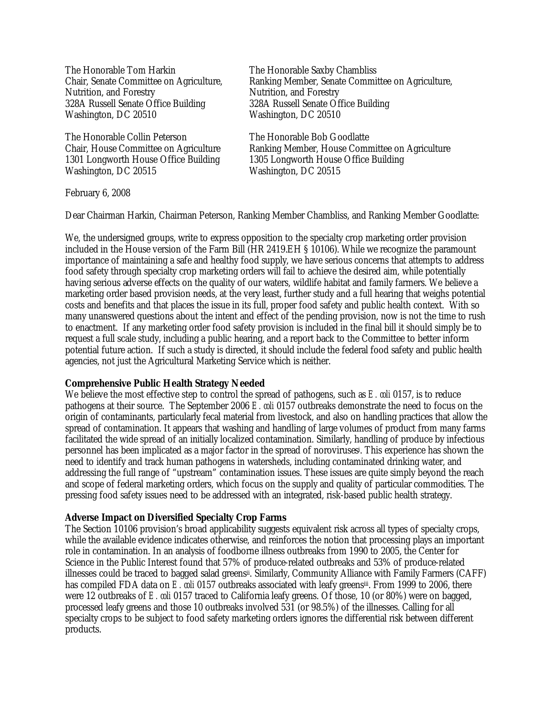The Honorable Tom Harkin Chair, Senate Committee on Agriculture, Nutrition, and Forestry 328A Russell Senate Office Building Washington, DC 20510

The Honorable Collin Peterson Chair, House Committee on Agriculture 1301 Longworth House Office Building Washington, DC 20515

The Honorable Saxby Chambliss Ranking Member, Senate Committee on Agriculture, Nutrition, and Forestry 328A Russell Senate Office Building Washington, DC 20510

The Honorable Bob Goodlatte Ranking Member, House Committee on Agriculture 1305 Longworth House Office Building Washington, DC 20515

February 6, 2008

Dear Chairman Harkin, Chairman Peterson, Ranking Member Chambliss, and Ranking Member Goodlatte:

We, the undersigned groups, write to express opposition to the specialty crop marketing order provision included in the House version of the Farm Bill (HR 2419.EH § 10106). While we recognize the paramount importance of maintaining a safe and healthy food supply, we have serious concerns that attempts to address food safety through specialty crop marketing orders will fail to achieve the desired aim, while potentially having serious adverse effects on the quality of our waters, wildlife habitat and family farmers. We believe a marketing order based provision needs, at the very least, further study and a full hearing that weighs potential costs and benefits and that places the issue in its full, proper food safety and public health context. With so many unanswered questions about the intent and effect of the pending provision, now is not the time to rush to enactment. If any marketing order food safety provision is included in the final bill it should simply be to request a full scale study, including a public hearing, and a report back to the Committee to better inform potential future action. If such a study is directed, it should include the federal food safety and public health agencies, not just the Agricultural Marketing Service which is neither.

## **Comprehensive Public Health Strategy Needed**

We believe the most effective step to control the spread of pathogens, such as *E. coli* 0157, is to reduce pathogens at their source. The September 2006 *E. coli* 0157 outbreaks demonstrate the need to focus on the origin of contaminants, particularly fecal material from livestock, and also on handling practices that allow the spread of contamination. It appears that washing and handling of large volumes of product from many farms facilitated the wide spread of an initially localized contamination. Similarly, handling of produce by infectious personnel has been implicated as a major factor in the spread of noroviruses<sup>i</sup> . This experience has shown the need to identify and track human pathogens in watersheds, including contaminated drinking water, and addressing the full range of "upstream" contamination issues. These issues are quite simply beyond the reach and scope of federal marketing orders, which focus on the supply and quality of particular commodities. The pressing food safety issues need to be addressed with an integrated, risk-based public health strategy.

## **Adverse Impact on Diversified Specialty Crop Farms**

The Section 10106 provision's broad applicability suggests equivalent risk across all types of specialty crops, while the available evidence indicates otherwise, and reinforces the notion that processing plays an important role in contamination. In an analysis of foodborne illness outbreaks from 1990 to 2005, the Center for Science in the Public Interest found that 57% of produce-related outbreaks and 53% of produce-related illnesses could be traced to bagged salad greens¤. Similarly, Community Alliance with Family Farmers (CAFF) has compiled FDA data on *E. coli* 0157 outbreaks associated with leafy greensiii . From 1999 to 2006, there were 12 outbreaks of *E. coli* 0157 traced to California leafy greens. Of those, 10 (or 80%) were on bagged, processed leafy greens and those 10 outbreaks involved 531 (or 98.5%) of the illnesses. Calling for all specialty crops to be subject to food safety marketing orders ignores the differential risk between different products.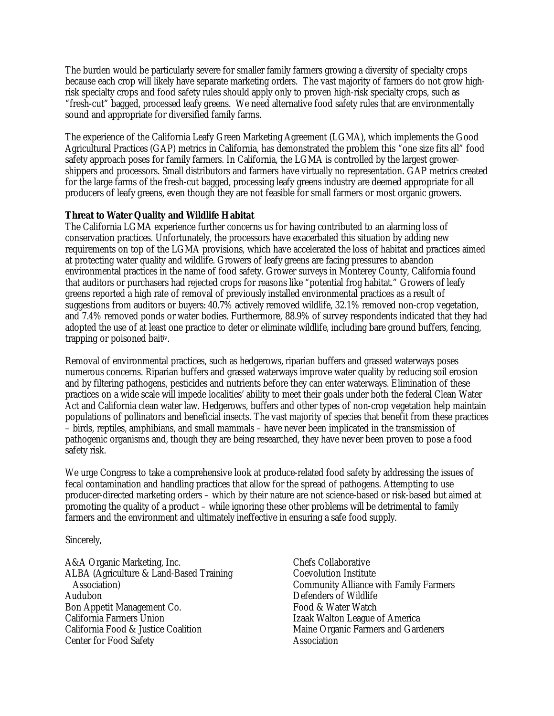The burden would be particularly severe for smaller family farmers growing a diversity of specialty crops because each crop will likely have separate marketing orders. The vast majority of farmers do not grow highrisk specialty crops and food safety rules should apply only to proven high-risk specialty crops, such as "fresh-cut" bagged, processed leafy greens. We need alternative food safety rules that are environmentally sound and appropriate for diversified family farms.

The experience of the California Leafy Green Marketing Agreement (LGMA), which implements the Good Agricultural Practices (GAP) metrics in California, has demonstrated the problem this "one size fits all" food safety approach poses for family farmers. In California, the LGMA is controlled by the largest growershippers and processors. Small distributors and farmers have virtually no representation. GAP metrics created for the large farms of the fresh-cut bagged, processing leafy greens industry are deemed appropriate for all producers of leafy greens, even though they are not feasible for small farmers or most organic growers.

## **Threat to Water Quality and Wildlife Habitat**

The California LGMA experience further concerns us for having contributed to an alarming loss of conservation practices. Unfortunately, the processors have exacerbated this situation by adding new requirements on top of the LGMA provisions, which have accelerated the loss of habitat and practices aimed at protecting water quality and wildlife. Growers of leafy greens are facing pressures to abandon environmental practices in the name of food safety. Grower surveys in Monterey County, California found that auditors or purchasers had rejected crops for reasons like "potential frog habitat." Growers of leafy greens reported a high rate of removal of previously installed environmental practices as a result of suggestions from auditors or buyers: 40.7% actively removed wildlife, 32.1% removed non-crop vegetation, and 7.4% removed ponds or water bodies. Furthermore, 88.9% of survey respondents indicated that they had adopted the use of at least one practice to deter or eliminate wildlife, including bare ground buffers, fencing, trapping or poisoned baitiv.

Removal of environmental practices, such as hedgerows, riparian buffers and grassed waterways poses numerous concerns. Riparian buffers and grassed waterways improve water quality by reducing soil erosion and by filtering pathogens, pesticides and nutrients before they can enter waterways. Elimination of these practices on a wide scale will impede localities' ability to meet their goals under both the federal Clean Water Act and California clean water law. Hedgerows, buffers and other types of non-crop vegetation help maintain populations of pollinators and beneficial insects. The vast majority of species that benefit from these practices – birds, reptiles, amphibians, and small mammals – have never been implicated in the transmission of pathogenic organisms and, though they are being researched, they have never been proven to pose a food safety risk.

We urge Congress to take a comprehensive look at produce-related food safety by addressing the issues of fecal contamination and handling practices that allow for the spread of pathogens. Attempting to use producer-directed marketing orders – which by their nature are not science-based or risk-based but aimed at promoting the quality of a product – while ignoring these other problems will be detrimental to family farmers and the environment and ultimately ineffective in ensuring a safe food supply.

Sincerely,

A&A Organic Marketing, Inc. ALBA (Agriculture & Land-Based Training Association) Audubon Bon Appetit Management Co. California Farmers Union California Food & Justice Coalition Center for Food Safety

Chefs Collaborative Coevolution Institute Community Alliance with Family Farmers Defenders of Wildlife Food & Water Watch Izaak Walton League of America Maine Organic Farmers and Gardeners **Association**